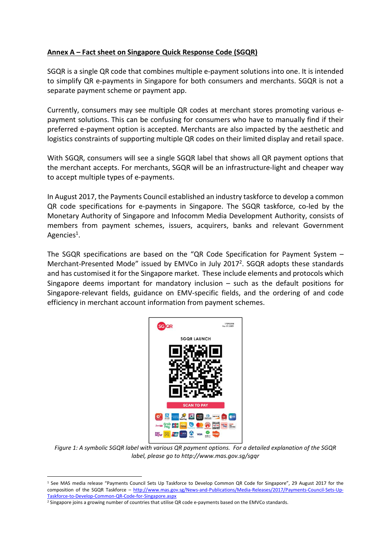## Annex A – Fact sheet on Singapore Quick Response Code (SGQR)

SGQR is a single QR code that combines multiple e-payment solutions into one. It is intended to simplify QR e-payments in Singapore for both consumers and merchants. SGQR is not a separate payment scheme or payment app.

Currently, consumers may see multiple QR codes at merchant stores promoting various epayment solutions. This can be confusing for consumers who have to manually find if their preferred e-payment option is accepted. Merchants are also impacted by the aesthetic and logistics constraints of supporting multiple QR codes on their limited display and retail space.

With SGQR, consumers will see a single SGQR label that shows all QR payment options that the merchant accepts. For merchants, SGQR will be an infrastructure-light and cheaper way to accept multiple types of e-payments.

In August 2017, the Payments Council established an industry taskforce to develop a common QR code specifications for e-payments in Singapore. The SGQR taskforce, co-led by the Monetary Authority of Singapore and Infocomm Media Development Authority, consists of members from payment schemes, issuers, acquirers, banks and relevant Government Agencies<sup>1</sup>.

The SGQR specifications are based on the "QR Code Specification for Payment System – Merchant-Presented Mode" issued by EMVCo in July 2017<sup>2</sup>. SGQR adopts these standards and has customised it for the Singapore market. These include elements and protocols which Singapore deems important for mandatory inclusion – such as the default positions for Singapore-relevant fields, guidance on EMV-specific fields, and the ordering of and code efficiency in merchant account information from payment schemes.



Figure 1: A symbolic SGQR label with various QR payment options. For a detailed explanation of the SGQR label, please go to http://www.mas.gov.sg/sgqr

-

<sup>&</sup>lt;sup>1</sup> See MAS media release "Payments Council Sets Up Taskforce to Develop Common QR Code for Singapore", 29 August 2017 for the composition of the SGQR Taskforce - http://www.mas.gov.sg/News-and-Publications/Media-Releases/2017/Payments-Council-Sets-Up-Taskforce-to-Develop-Common-QR-Code-for-Singapore.aspx

<sup>&</sup>lt;sup>2</sup> Singapore joins a growing number of countries that utilise QR code e-payments based on the EMVCo standards.